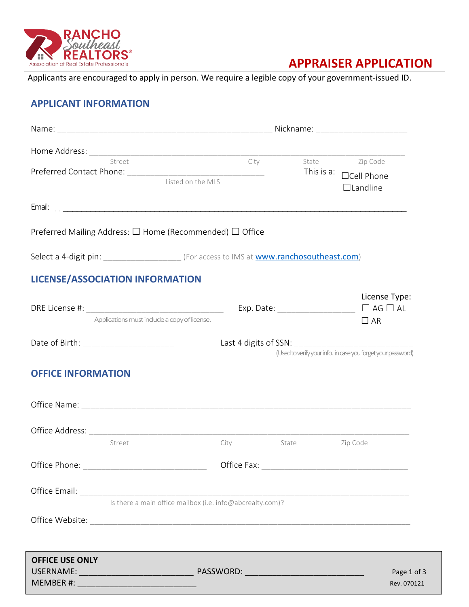

# **APPRAISER APPLICATION**

Applicants are encouraged to apply in person. We require a legible copy of your government-issued ID.

## **APPLICANT INFORMATION**

|                           | Street<br>Listed on the MLS                                                                                   | City |                   | State Zip Code<br>This is a: $\Box$ Cell Phone<br>$\Box$ Landline |  |
|---------------------------|---------------------------------------------------------------------------------------------------------------|------|-------------------|-------------------------------------------------------------------|--|
|                           |                                                                                                               |      |                   |                                                                   |  |
|                           | Preferred Mailing Address: $\Box$ Home (Recommended) $\Box$ Office                                            |      |                   |                                                                   |  |
|                           | Select a 4-digit pin: ______________________ (For access to IMS at www.ranchosoutheast.com)                   |      |                   |                                                                   |  |
|                           | <b>LICENSE/ASSOCIATION INFORMATION</b>                                                                        |      |                   |                                                                   |  |
|                           | Applications must include a copy of license.                                                                  |      |                   | License Type:<br>$\Box$ AR                                        |  |
|                           |                                                                                                               |      |                   | (Used to verify your info. in case you forget your password)      |  |
| <b>OFFICE INFORMATION</b> |                                                                                                               |      |                   |                                                                   |  |
|                           |                                                                                                               |      |                   |                                                                   |  |
|                           | Street                                                                                                        | City | Zip Code<br>State |                                                                   |  |
|                           |                                                                                                               |      |                   |                                                                   |  |
|                           |                                                                                                               |      |                   |                                                                   |  |
|                           | Is there a main office mailbox (i.e. info@abcrealty.com)?                                                     |      |                   |                                                                   |  |
|                           |                                                                                                               |      |                   |                                                                   |  |
| <b>OFFICE USE ONLY</b>    | a sa mga bagayan ng mga bayang ng mga bagayang ng mga bagayang ng mga bagayang ng mga bagong ng mga bagong ng |      |                   | Page 1 of 3<br>Rev. 070121                                        |  |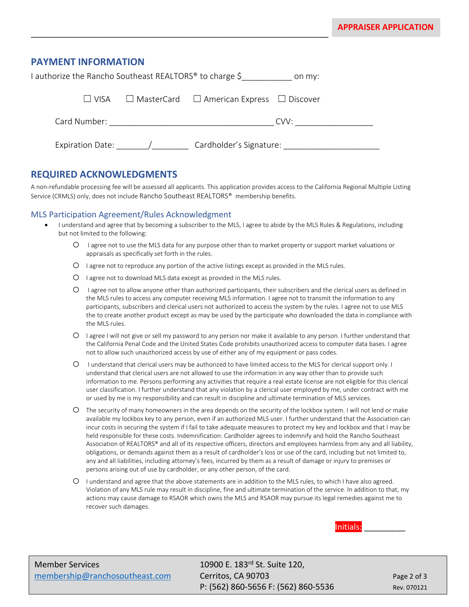## **PAYMENT INFORMATION**

| I authorize the Rancho Southeast REALTORS® to charge \$ | on my:                                                    |  |
|---------------------------------------------------------|-----------------------------------------------------------|--|
| I I VISA                                                | $\Box$ MasterCard $\Box$ American Express $\Box$ Discover |  |
| Card Number:                                            | CVV:                                                      |  |
| <b>Expiration Date:</b>                                 | Cardholder's Signature:                                   |  |

\_\_\_\_\_\_\_\_\_\_\_\_\_\_\_\_\_\_\_\_\_\_\_\_\_\_\_\_\_\_\_\_\_\_\_\_\_\_\_\_\_\_\_\_\_\_\_\_\_\_\_\_\_\_\_\_\_\_\_\_\_\_\_\_\_

## **REQUIRED ACKNOWLEDGMENTS**

A non-refundable processing fee will be assessed all applicants. This application provides access to the California Regional Multiple Listing Service (CRMLS) only, does not include Rancho Southeast REALTORS® membership benefits.

#### MLS Participation Agreement/Rules Acknowledgment

- I understand and agree that by becoming a subscriber to the MLS, I agree to abide by the MLS Rules & Regulations, including but not limited to the following:
	- o I agree not to use the MLS data for any purpose other than to market property or support market valuations or appraisals as specifically set forth in the rules.
	- O I agree not to reproduce any portion of the active listings except as provided in the MLS rules.
	- $\circ$  I agree not to download MLS data except as provided in the MLS rules.
	- o I agree not to allow anyone other than authorized participants, their subscribers and the clerical users as defined in the MLS rules to access any computer receiving MLS information. I agree not to transmit the information to any participants, subscribers and clerical users not authorized to access the system by the rules. I agree not to use MLS the to create another product except as may be used by the participate who downloaded the data in compliance with the MLS rules.
	- o I agree I will not give or sell my password to any person nor make it available to any person. I further understand that the California Penal Code and the United States Code prohibits unauthorized access to computer data bases. I agree not to allow such unauthorized access by use of either any of my equipment or pass codes.
	- o I understand that clerical users may be authorized to have limited access to the MLS for clerical support only. I understand that clerical users are not allowed to use the information in any way other than to provide such information to me. Persons performing any activities that require a real estate license are not eligible for this clerical user classification. I further understand that any violation by a clerical user employed by me, under contract with me or used by me is my responsibility and can result in discipline and ultimate termination of MLS services.
	- o The security of many homeowners in the area depends on the security of the lockbox system. I will not lend or make available my lockbox key to any person, even if an authorized MLS user. I further understand that the Association can incur costs in securing the system if I fail to take adequate measures to protect my key and lockbox and that I may be held responsible for these costs. Indemnification: Cardholder agrees to indemnify and hold the Rancho Southeast Association of REALTORS® and all of its respective officers, directors and employees harmless from any and all liability, obligations, or demands against them as a result of cardholder's loss or use of the card, including but not limited to, any and all liabilities, including attorney's fees, incurred by them as a result of damage or injury to premises or persons arising out of use by cardholder, or any other person, of the card.
	- o I understand and agree that the above statements are in addition to the MLS rules, to which I have also agreed. Violation of any MLS rule may result in discipline, fine and ultimate termination of the service. In addition to that, my actions may cause damage to RSAOR which owns the MLS and RSAOR may pursue its legal remedies against me to recover such damages.



P: (562) 860-5656 F: (562) 860-5536 Rev. 070121